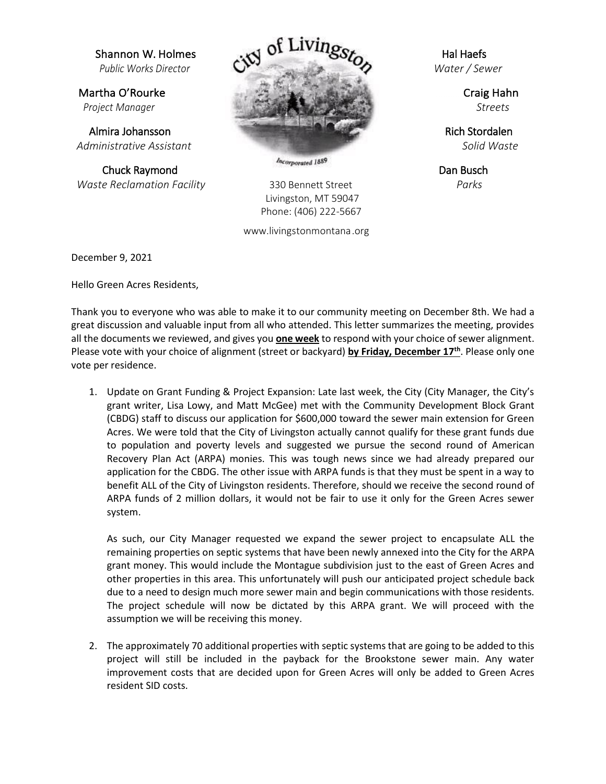Chuck Raymond **Chuck Raymond**  *Waste Reclamation Facility* 330 Bennett Street *Parks* 



 Livingston, MT 59047 Phone: (406) 222-5667

www.livingstonmontana .org

December 9, 2021

Hello Green Acres Residents,

Thank you to everyone who was able to make it to our community meeting on December 8th. We had a great discussion and valuable input from all who attended. This letter summarizes the meeting, provides all the documents we reviewed, and gives you **one week** to respond with your choice of sewer alignment. Please vote with your choice of alignment (street or backyard) **by Friday, December 17th**. Please only one vote per residence.

1. Update on Grant Funding & Project Expansion: Late last week, the City (City Manager, the City's grant writer, Lisa Lowy, and Matt McGee) met with the Community Development Block Grant (CBDG) staff to discuss our application for \$600,000 toward the sewer main extension for Green Acres. We were told that the City of Livingston actually cannot qualify for these grant funds due to population and poverty levels and suggested we pursue the second round of American Recovery Plan Act (ARPA) monies. This was tough news since we had already prepared our application for the CBDG. The other issue with ARPA funds is that they must be spent in a way to benefit ALL of the City of Livingston residents. Therefore, should we receive the second round of ARPA funds of 2 million dollars, it would not be fair to use it only for the Green Acres sewer system.

As such, our City Manager requested we expand the sewer project to encapsulate ALL the remaining properties on septic systems that have been newly annexed into the City for the ARPA grant money. This would include the Montague subdivision just to the east of Green Acres and other properties in this area. This unfortunately will push our anticipated project schedule back due to a need to design much more sewer main and begin communications with those residents. The project schedule will now be dictated by this ARPA grant. We will proceed with the assumption we will be receiving this money.

2. The approximately 70 additional properties with septic systems that are going to be added to this project will still be included in the payback for the Brookstone sewer main. Any water improvement costs that are decided upon for Green Acres will only be added to Green Acres resident SID costs.